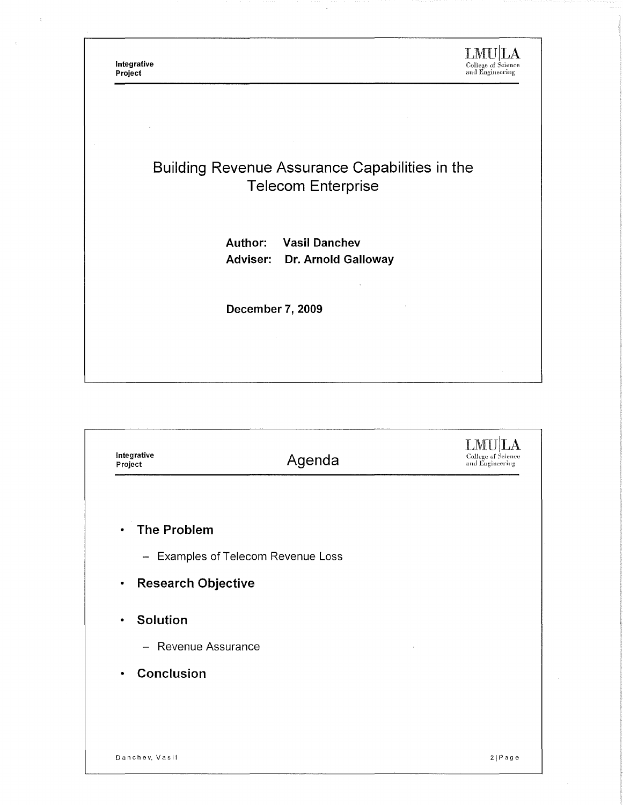Integrative<br>Project

 $\underset{\text{college of Science}}{\text{LMD}} \underset{\text{of Science}}{\text{LAM}}$ 

## Building Revenue Assurance Capabilities in the **Telecom Enterprise**

Author: **Vasil Danchev** Adviser: Dr. Arnold Galloway

 $\ddot{\phantom{a}}$ 

December 7, 2009

| - Examples of Telecom Revenue Loss | College of Science<br>and Engineering |
|------------------------------------|---------------------------------------|
|                                    |                                       |
|                                    |                                       |
|                                    |                                       |
|                                    |                                       |
|                                    |                                       |
|                                    |                                       |
|                                    |                                       |
|                                    |                                       |
|                                    |                                       |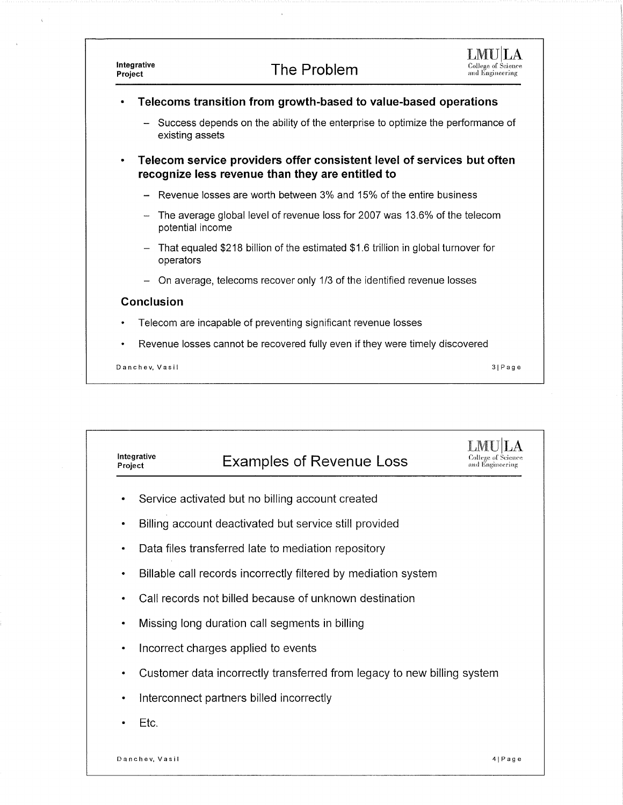

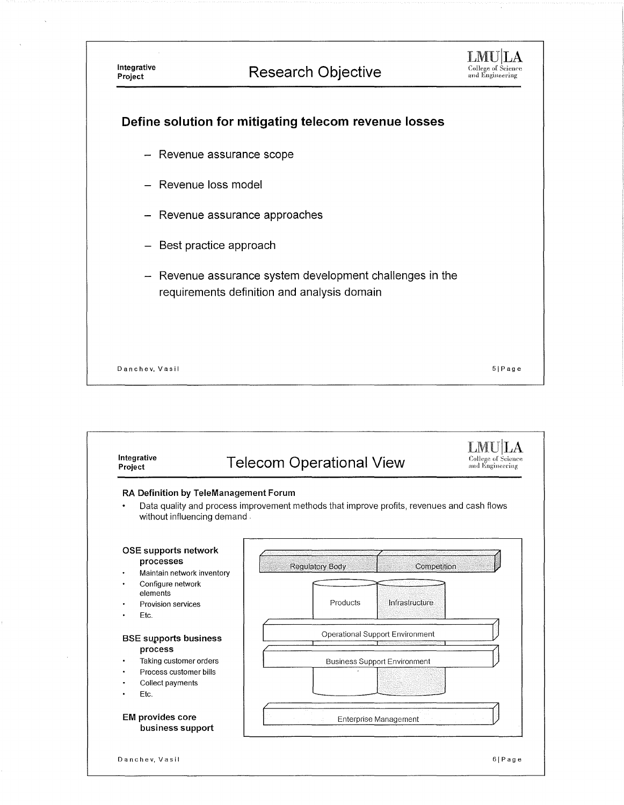

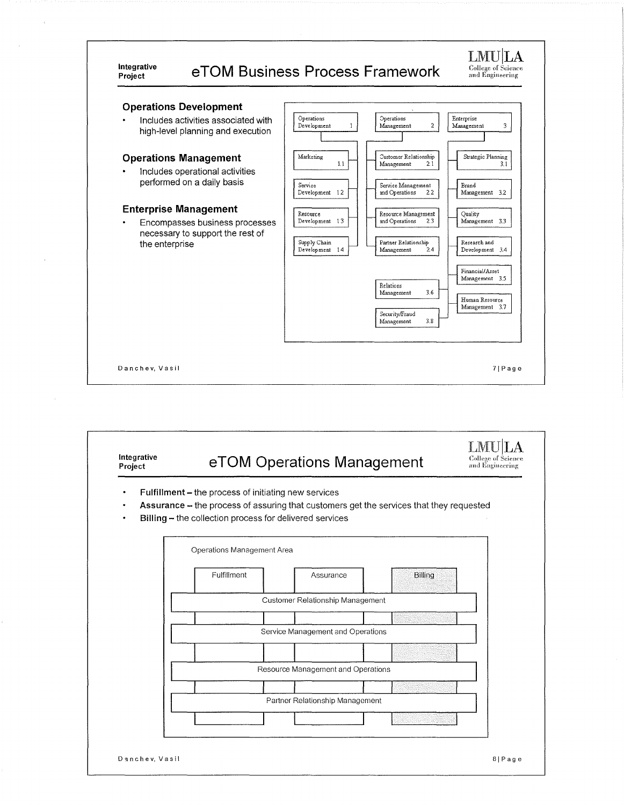#### LMU|LA **Integrative eTOM Business Process Framework** College of Science<br>and Engineering **Operations Development**  Includes activities associated with  $\bigcap_{\text{Development}}$ Enterprise<br>Management  $\ddot{\phantom{0}}$ :)perations Management  $\mathbf 1$  $\bar{2}$  $\overline{\mathbf{3}}$ high-level planning and execution

### **Operations Management** | Marketing

Includes operational activities performed on a daily basis

# **Enterprise Management**<br>**Resources** business n

**Encompasses business processes necessary to support the rest of**  the enterprise



| Integrative<br>Project | eTOM Operations Management                                                                                                                                                                                 |                                    |         | <b>College of Science</b><br>and Engineering |
|------------------------|------------------------------------------------------------------------------------------------------------------------------------------------------------------------------------------------------------|------------------------------------|---------|----------------------------------------------|
| ٠                      | Fulfillment - the process of initiating new services<br>Assurance - the process of assuring that customers get the services that they requested<br>Billing - the collection process for delivered services |                                    |         |                                              |
|                        | Operations Management Area                                                                                                                                                                                 |                                    |         |                                              |
|                        | Fulfillment                                                                                                                                                                                                | Assurance                          | Billing |                                              |
|                        |                                                                                                                                                                                                            | Customer Relationship Management   |         |                                              |
|                        |                                                                                                                                                                                                            | Service Management and Operations  |         |                                              |
|                        |                                                                                                                                                                                                            | Resource Management and Operations |         |                                              |
|                        |                                                                                                                                                                                                            | Partner Relationship Management    |         |                                              |
|                        |                                                                                                                                                                                                            |                                    |         |                                              |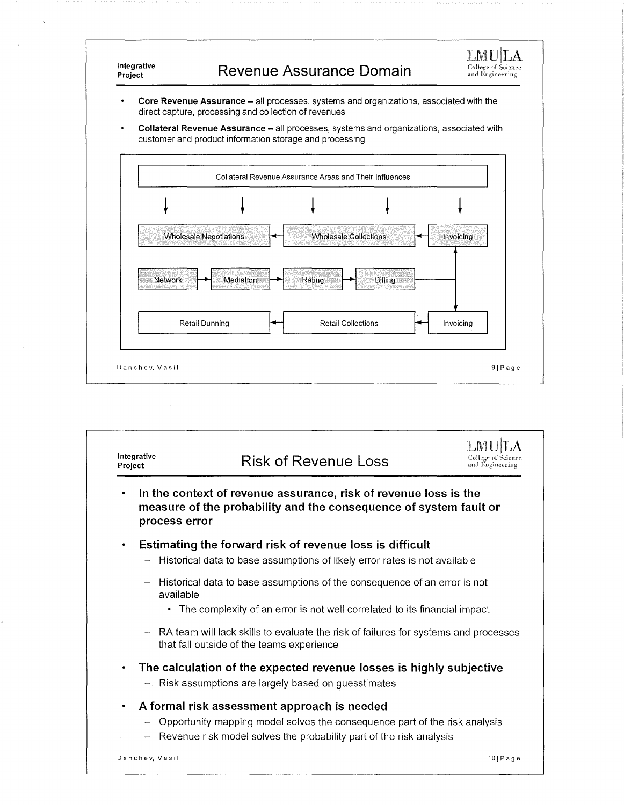

 $\ddot{\phantom{0}}$ Core Revenue Assurance - all processes, systems and organizations, associated with the direct capture, processing and collection of revenues

 $\ddot{\phantom{0}}$ **Collateral Revenue Assurance** - all processes, systems and organizations, associated with customer and product information storage and processing



| Integrative<br>Project | <b>Risk of Revenue Loss</b>                                                                                                                                                                          | <b>College of Science</b><br>and Engineering |
|------------------------|------------------------------------------------------------------------------------------------------------------------------------------------------------------------------------------------------|----------------------------------------------|
| ٠                      | In the context of revenue assurance, risk of revenue loss is the<br>measure of the probability and the consequence of system fault or<br>process error                                               |                                              |
| ٠                      | Estimating the forward risk of revenue loss is difficult<br>- Historical data to base assumptions of likely error rates is not available                                                             |                                              |
|                        | - Historical data to base assumptions of the consequence of an error is not<br>available<br>• The complexity of an error is not well correlated to its financial impact                              |                                              |
|                        | - RA team will lack skills to evaluate the risk of failures for systems and processes<br>that fall outside of the teams experience                                                                   |                                              |
| ٠                      | The calculation of the expected revenue losses is highly subjective<br>- Risk assumptions are largely based on guesstimates                                                                          |                                              |
| $\bullet$              | A formal risk assessment approach is needed<br>- Opportunity mapping model solves the consequence part of the risk analysis<br>- Revenue risk model solves the probability part of the risk analysis |                                              |
|                        | Danchev, Vasil                                                                                                                                                                                       | $10$   Page                                  |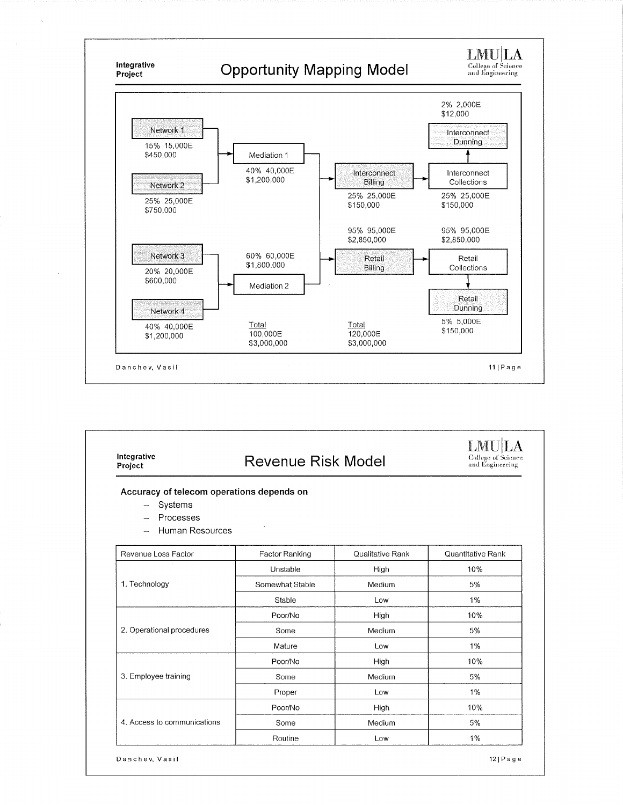

| Integrative<br>Project                                                                        | <b>Revenue Risk Model</b> |                  | College of Science<br>and Engineering |
|-----------------------------------------------------------------------------------------------|---------------------------|------------------|---------------------------------------|
| Accuracy of telecom operations depends on<br>- Systems<br>Processes<br><b>Human Resources</b> |                           |                  |                                       |
| Revenue Loss Factor                                                                           | Factor Ranking            | Qualitative Rank | Quantitative Rank                     |
|                                                                                               | Unstable                  | High             | 10%                                   |
| 1. Technology                                                                                 | Somewhat Stable           | Medium           | 5%                                    |
|                                                                                               | Stable                    | Low              | 1%                                    |
|                                                                                               | Poor/No                   | High             | 10%                                   |
| 2. Operational procedures                                                                     | Some                      | Medium           | 5%                                    |
|                                                                                               | Mature                    | Low              | 1%                                    |
|                                                                                               | Poor/No                   | High             | 10%                                   |
| 3. Employee training                                                                          | Some                      | Medium           | 5%                                    |
|                                                                                               | Proper                    | Low              | 1%                                    |
|                                                                                               | Poor/No                   | High             | 10%                                   |
| 4. Access to communications                                                                   | Some                      | Medium           | 5%                                    |
|                                                                                               | Routine                   | Low              | 1%                                    |

Danchev, Vasil

121 Page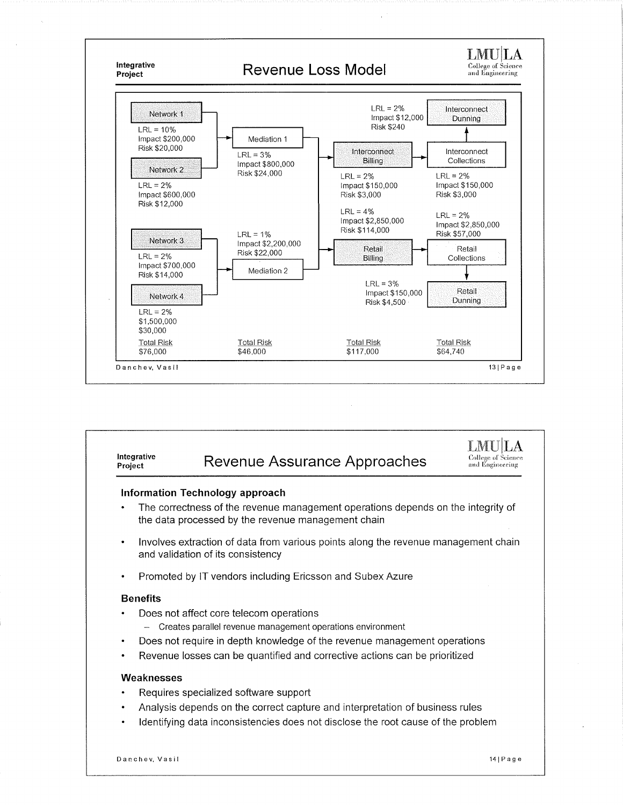

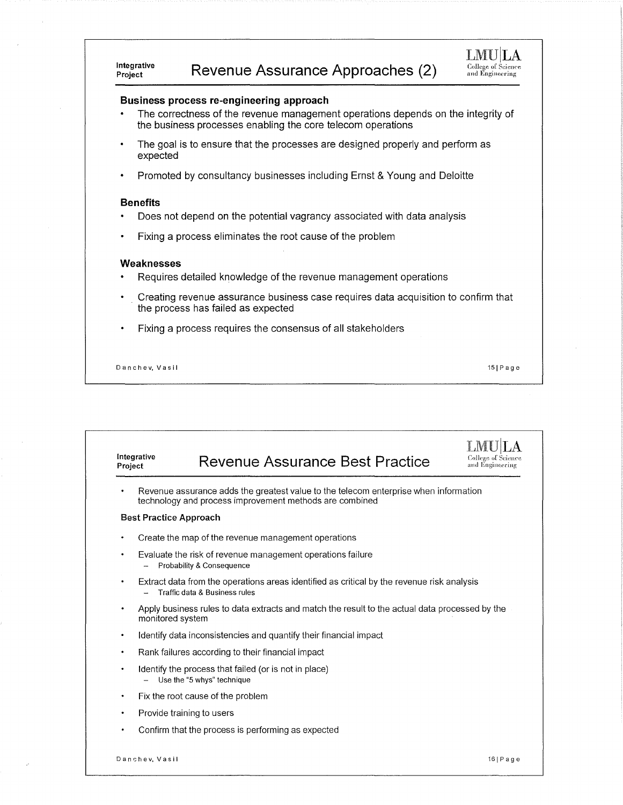### **Revenue Assurance Approaches (2)**

#### L1VIUILA College of Science and Engineering

151Page

#### **Business process re-engineering approach**

- The correctness of the revenue management operations depends on the integrity of the business processes enabling the core telecom operations
- The goal is to ensure that the processes are designed properly and perform as expected
- Promoted by consultancy businesses including Ernst & Young and Deloitte

#### **Benefits**

**Integrative** 

- Does not depend on the potential vagrancy associated with data analysis
- Fixing a process eliminates the root cause of the problem

#### **Weaknesses**

- Requires detailed knowledge of the revenue management operations
- Creating revenue assurance business case requires data acquisition to confirm that the process has failed as expected
- Fixing a process requires the consensus of all stakeholders

D an ch e v, Vas i I

**Integrative Revenue Assurance Best Practice**  $\bf LMULA$ College of Science<br>and Engineering Revenue assurance adds the greatest value to the telecom enterprise when information technology and process improvement methods are combined **Best Practice Approach**  Create the map of the revenue management operations Evaluate the risk of revenue management operations failure - Probability & Consequence Extract data from the operations areas identified as critical by the revenue risk analysis - Traffic data & Business rules Apply business rules to data extracts and match the result to the actual data processed by the monitored system Identify data inconsistencies and quantify their financial impact Rank failures according to their financial impact Identify the process that failed (or is not in place) - Use the "5 whys" technique Fix the root cause of the problem Provide training to users Confirm that the process is performing as expected Danshev, Vasil 161 and 2008, 2008 and 2009 and 2008 and 2009 and 2009 and 2009 and 2009 and 2009 and 2009 and 2009 and 2009 and 2009 and 2009 and 2009 and 2009 and 2009 and 2009 and 2009 and 2009 and 2009 and 2009 and 2009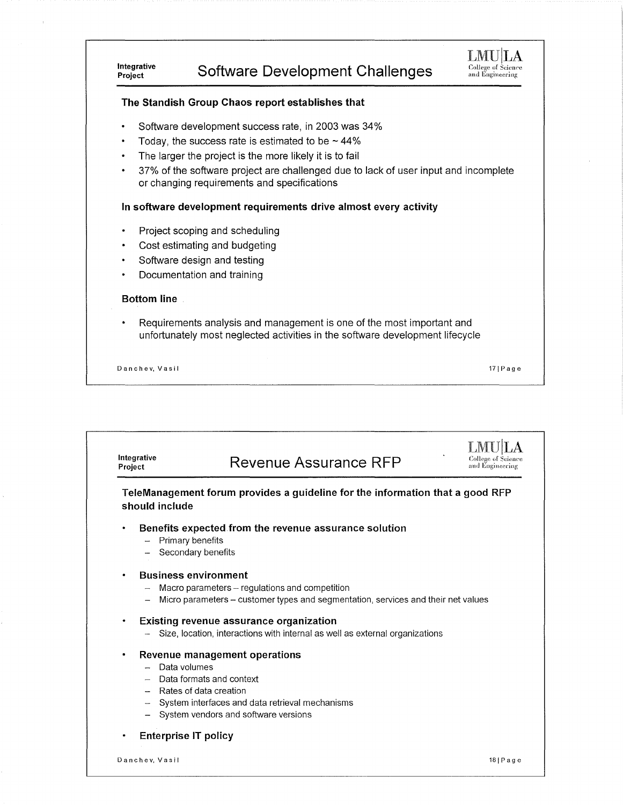## **Software Development Challenges**



171Page

### **The Standish Group Chaos report establishes that**

- Software development success rate, in 2003 was 34%
- Today, the success rate is estimated to be  $\sim$  44%
- The larger the project is the more likely it is to fail
- 37% of the software project are challenged due to lack of user input and incomplete or changing requirements and specifications

#### **In software development requirements drive almost every activity**

- Project scoping and scheduling
- Cost estimating and budgeting
- Software design and testing
- Documentation and training

#### **Bottom line**

**Integrative** 

Requirements analysis and management is one of the most important and unfortunately most neglected activities in the software development lifecycle

D a n c h e v, V a s i I

**Integrative Revenue Assurance RFP**  $\bf LMULA$ College of Science<br>and Engiueering **TeleManagement forum provides a guideline for the information that a good RFP should include Benefits expected from the revenue assurance solution**  - Primary benefits - Secondary benefits **Business environment**  Macro parameters - regulations and competition Micro parameters - customer types and segmentation, services and their net values **Existing revenue assurance organization**  - Size, location, interactions with internal as well as external organizations **Revenue management operations**  - Data volumes - Data formats and context - Rates of data creation - System interfaces and data retrieval mechanisms System vendors and software versions **Enterprise IT policy**  Dan ch e v, Vasi I 181Page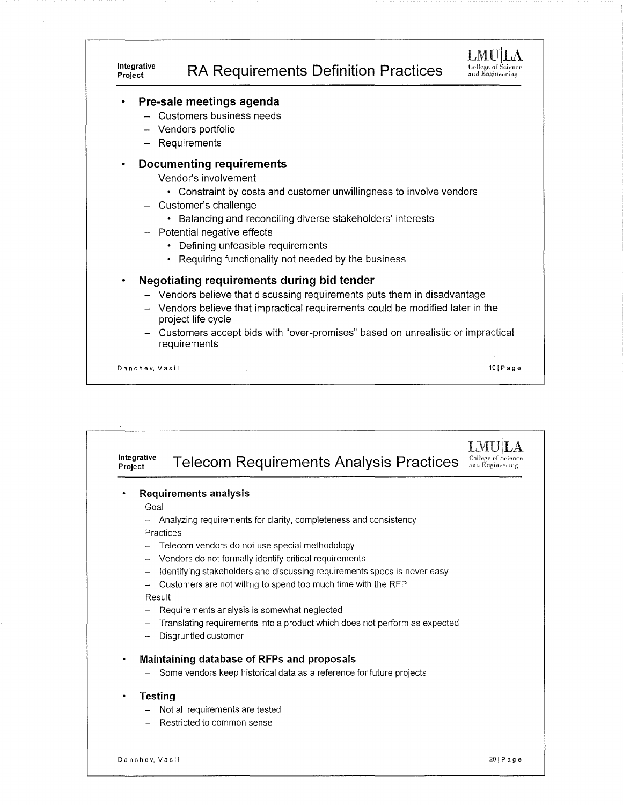

| Integrative<br>Project | <b>Telecom Requirements Analysis Practices</b>                             | <b>College of Science</b><br>and Engineering |
|------------------------|----------------------------------------------------------------------------|----------------------------------------------|
|                        | <b>Requirements analysis</b>                                               |                                              |
| Goal                   |                                                                            |                                              |
|                        | Analyzing requirements for clarity, completeness and consistency           |                                              |
| Practices              |                                                                            |                                              |
|                        | Telecom vendors do not use special methodology                             |                                              |
|                        | Vendors do not formally identify critical requirements                     |                                              |
|                        | Identifying stakeholders and discussing requirements specs is never easy   |                                              |
|                        | Customers are not willing to spend too much time with the RFP              |                                              |
| Result                 |                                                                            |                                              |
|                        | Requirements analysis is somewhat neglected                                |                                              |
|                        | Translating requirements into a product which does not perform as expected |                                              |
|                        | Disgruntled customer                                                       |                                              |
| ٠                      | Maintaining database of RFPs and proposals                                 |                                              |
|                        | Some vendors keep historical data as a reference for future projects       |                                              |
| <b>Testing</b><br>٠    |                                                                            |                                              |
|                        | Not all requirements are tested                                            |                                              |
|                        | Restricted to common sense                                                 |                                              |
|                        |                                                                            |                                              |
| Danchev, Vasil         |                                                                            | $20$   Page                                  |